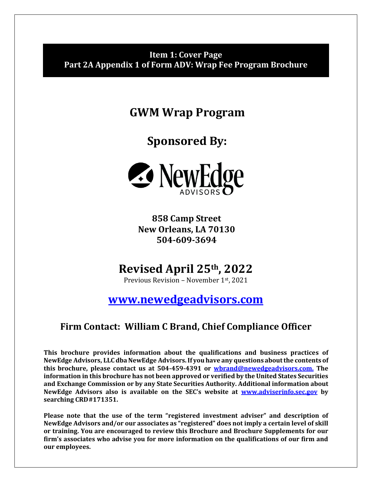## <span id="page-0-0"></span>**Item 1: Cover Page Part 2A Appendix 1 of Form ADV: Wrap Fee Program Brochure**

**GWM Wrap Program**

**Sponsored By:**



**858 Camp Street New Orleans, LA 70130 504-609-3694**

# **Revised April 25th , 2022**

Previous Revision – November 1st, 2021

**[www.newedgeadvisors.com](http://www.newedgeadvisors.com/)**

## **Firm Contact: William C Brand, Chief Compliance Officer**

**This brochure provides information about the qualifications and business practices of NewEdge Advisors, LLC dbaNewEdge Advisors.If you have any questions aboutthe contents of this brochure, please contact us at 504-459-4391 or [wbrand@newedgeadvisors.com.](mailto:wbrand@newedgeadvisors.com.) The information in this brochure has not been approved or verified by the United States Securities and Exchange Commission or by any State Securities Authority. Additional information about NewEdge Advisors also is available on the SEC's website at [www.adviserinfo.sec.gov](http://www.adviserinfo.sec.gov/) by searching CRD#171351.**

**Please note that the use of the term "registered investment adviser" and description of NewEdge Advisors and/or our associates as "registered" does not imply a certain level of skill or training. You are encouraged to review this Brochure and Brochure Supplements for our firm's associates who advise you for more information on the qualifications of our firm and our employees.**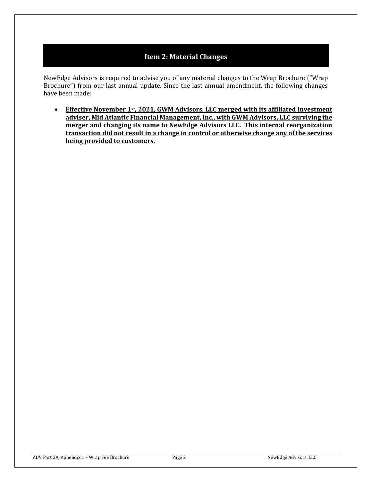## **Item 2: Material Changes**

<span id="page-1-0"></span>NewEdge Advisors is required to advise you of any material changes to the Wrap Brochure ("Wrap Brochure") from our last annual update. Since the last annual amendment, the following changes have been made:

• **Effective November 1st, 2021, GWM Advisors, LLC merged with its affiliated investment adviser, Mid Atlantic Financial Management, Inc., with GWM Advisors, LLC surviving the merger and changing its name to NewEdge Advisors LLC. This internal reorganization transaction did not result in a change in control or otherwise change any of the services being provided to customers.**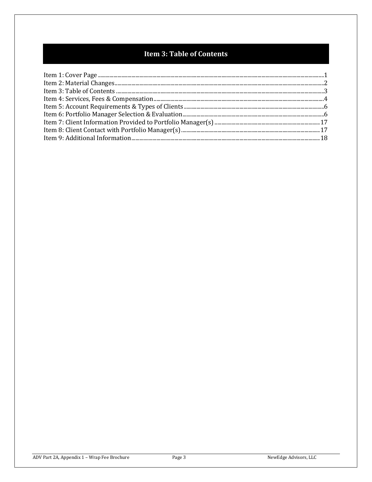## Item 3: Table of Contents

<span id="page-2-0"></span>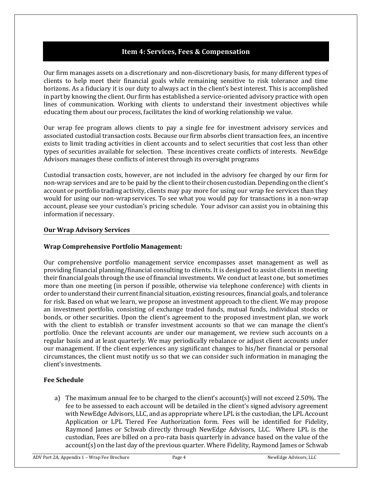## **Item 4: Services, Fees & Compensation**

<span id="page-3-0"></span>Our firm manages assets on a discretionary and non-discretionary basis, for many different types of clients to help meet their financial goals while remaining sensitive to risk tolerance and time horizons. As a fiduciary it is our duty to always act in the client's best interest. This is accomplished in part by knowing the client. Our firm has established a service-oriented advisory practice with open lines of communication. Working with clients to understand their investment objectives while educating them about our process, facilitates the kind of working relationship we value.

Our wrap fee program allows clients to pay a single fee for investment advisory services and associated custodial transaction costs. Because our firm absorbs client transaction fees, an incentive exists to limit trading activities in client accounts and to select securities that cost less than other types of securities available for selection. These incentives create conflicts of interests. NewEdge Advisors manages these conflicts of interest through its oversight programs

Custodial transaction costs, however, are not included in the advisory fee charged by our firm for non-wrap services and are to be paid by the client to their chosen custodian. Depending on the client's account or portfolio trading activity, clients may pay more for using our wrap fee services than they would for using our non-wrapservices. To see what you would pay for transactions in a non-wrap account, please see your custodian's pricing schedule. Your advisor can assist you in obtaining this information if necessary.

#### **Our Wrap Advisory Services**

#### **Wrap Comprehensive Portfolio Management:**

Our comprehensive portfolio management service encompasses asset management as well as providing financial planning/financial consulting to clients. It is designed to assist clients in meeting their financial goals through the use of financial investments. We conduct at least one, but sometimes more than one meeting (in person if possible, otherwise via telephone conference) with clients in order to understand their current financial situation, existing resources, financial goals, and tolerance for risk. Based on what we learn, we propose an investment approach to the client. We may propose an investment portfolio, consisting of exchange traded funds, mutual funds, individual stocks or bonds, or other securities. Upon the client's agreement to the proposed investment plan, we work with the client to establish or transfer investment accounts so that we can manage the client's portfolio. Once the relevant accounts are under our management, we review such accounts on a regular basis and at least quarterly. We may periodically rebalance or adjust client accounts under our management. If the client experiences any significant changes to his/her financial or personal circumstances, the client must notify us so that we can consider such information in managing the client's investments.

#### **Fee Schedule**

a) The maximum annual fee to be charged to the client's account(s) will not exceed 2.50%. The fee to be assessed to each account will be detailed in the client's signed advisory agreement with NewEdge Advisors, LLC, and as appropriate where LPL is the custodian, the LPL Account Application or LPL Tiered Fee Authorization form. Fees will be identified for Fidelity, Raymond James or Schwab directly through NewEdge Advisors, LLC. Where LPL is the custodian, Fees are billed on a pro-rata basis quarterly in advance based on the value of the account(s) on the last day of the previous quarter. Where Fidelity, Raymond James or Schwab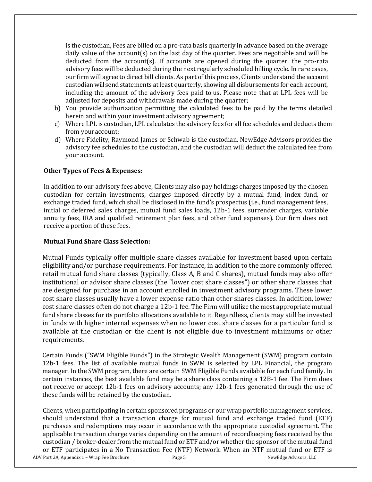is the custodian, Fees are billed on a pro-rata basis quarterly in advance based on the average daily value of the account(s) on the last day of the quarter. Fees are negotiable and will be deducted from the account(s). If accounts are opened during the quarter, the pro-rata advisory fees will be deducted during the next regularly scheduled billing cycle. In rare cases, our firm will agree to direct bill clients. As part of this process, Clients understand the account custodianwill send statements atleast quarterly, showing all disbursements for each account, including the amount of the advisory fees paid to us. Please note that at LPL fees will be adjusted for deposits and withdrawals made during the quarter;

- b) You provide authorization permitting the calculated fees to be paid by the terms detailed herein and within your investment advisory agreement;
- c) Where LPL is custodian, LPL calculates the advisory fees for all fee schedules and deducts them from youraccount;
- d) Where Fidelity, Raymond James or Schwab is the custodian, NewEdge Advisors provides the advisory fee schedules to the custodian, and the custodian will deduct the calculated fee from your account.

#### **Other Types of Fees & Expenses:**

In addition to our advisory fees above, Clients may also pay holdings charges imposed by the chosen custodian for certain investments, charges imposed directly by a mutual fund, index fund, or exchange traded fund, which shall be disclosed in the fund's prospectus (i.e., fund management fees, initial or deferred sales charges, mutual fund sales loads, 12b-1 fees, surrender charges, variable annuity fees, IRA and qualified retirement plan fees, and other fund expenses). Our firm does not receive a portion of these fees.

#### **Mutual Fund Share Class Selection:**

Mutual Funds typically offer multiple share classes available for investment based upon certain eligibility and/or purchase requirements. For instance, in addition to the more commonly offered retail mutual fund share classes (typically, Class A, B and C shares), mutual funds may also offer institutional or advisor share classes (the "lower cost share classes") or other share classes that are designed for purchase in an account enrolled in investment advisory programs. These lower cost share classes usually have a lower expense ratio than other shares classes. In addition, lower cost share classes often do not charge a 12b-1 fee. The Firm will utilize the most appropriate mutual fund share classes for its portfolio allocations available to it. Regardless, clients may still be invested in funds with higher internal expenses when no lower cost share classes for a particular fund is available at the custodian or the client is not eligible due to investment minimums or other requirements.

Certain Funds ("SWM Eligible Funds") in the Strategic Wealth Management (SWM) program contain 12b-1 fees. The list of available mutual funds in SWM is selected by LPL Financial, the program manager. In the SWM program, there are certain SWM Eligible Funds available for each fund family. In certain instances, the best available fund may be a share class containing a 12B-1 fee. The Firm does not receive or accept 12b-1 fees on advisory accounts; any 12b-1 fees generated through the use of these funds will be retained by the custodian.

Clients, when participating in certain sponsored programs or our wrap portfolio management services, should understand that a transaction charge for mutual fund and exchange traded fund (ETF) purchases and redemptions may occur in accordance with the appropriate custodial agreement. The applicable transaction charge varies depending on the amount of recordkeeping fees received by the custodian / broker-dealer from the mutual fund or ETF and/or whether the sponsor of the mutual fund or ETF participates in a No Transaction Fee (NTF) Network. When an NTF mutual fund or ETF is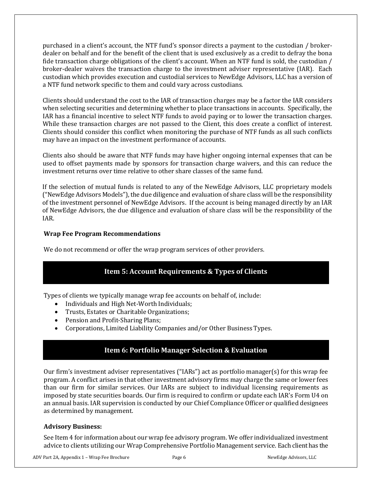purchased in a client's account, the NTF fund's sponsor directs a payment to the custodian / brokerdealer on behalf and for the benefit of the client that is used exclusively as a credit to defray the bona fide transaction charge obligations of the client's account. When an NTF fund is sold, the custodian / broker-dealer waives the transaction charge to the investment adviser representative (IAR). Each custodian which provides execution and custodial services to NewEdge Advisors, LLC has a version of a NTF fund network specific to them and could vary across custodians.

Clients should understand the cost to the IAR of transaction charges may be a factor the IAR considers when selecting securities and determining whether to place transactions in accounts. Specifically, the IAR has a financial incentive to select NTF funds to avoid paying or to lower the transaction charges. While these transaction charges are not passed to the Client, this does create a conflict of interest. Clients should consider this conflict when monitoring the purchase of NTF funds as all such conflicts may have an impact on the investment performance of accounts.

Clients also should be aware that NTF funds may have higher ongoing internal expenses that can be used to offset payments made by sponsors for transaction charge waivers, and this can reduce the investment returns over time relative to other share classes of the same fund.

If the selection of mutual funds is related to any of the NewEdge Advisors, LLC proprietary models ("NewEdge Advisors Models"), the due diligence and evaluation of share class will be the responsibility of the investment personnel of NewEdge Advisors. If the account is being managed directly by an IAR of NewEdge Advisors, the due diligence and evaluation of share class will be the responsibility of the IAR.

#### **Wrap Fee Program Recommendations**

<span id="page-5-0"></span>We do not recommend or offer the wrap program services of other providers.

## **Item 5: Account Requirements & Types of Clients**

Types of clients we typically manage wrap fee accounts on behalf of, include:

- Individuals and High Net-Worth Individuals;
- Trusts, Estates or Charitable Organizations;
- Pension and Profit-Sharing Plans;
- <span id="page-5-1"></span>• Corporations, Limited Liability Companies and/or Other Business Types.

## **Item 6: Portfolio Manager Selection & Evaluation**

Our firm's investment adviser representatives ("IARs") act as portfolio manager(s) for this wrap fee program. A conflict arises in that other investment advisory firms may charge the same or lower fees than our firm for similar services. Our IARs are subject to individual licensing requirements as imposed by state securities boards. Our firm is required to confirm or update each IAR's Form U4 on an annual basis. IAR supervision is conducted by our Chief Compliance Officer or qualified designees as determined by management.

#### **Advisory Business:**

See Item 4 for information about our wrap fee advisory program. We offer individualized investment advice to clients utilizing our Wrap Comprehensive Portfolio Management service. Each client has the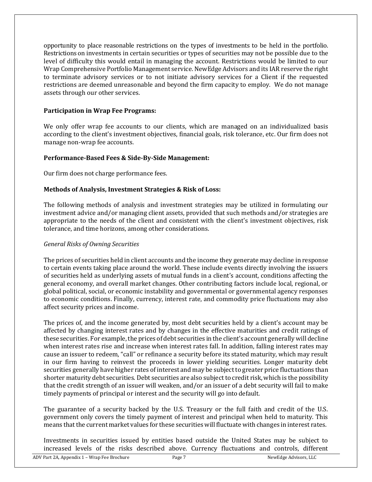opportunity to place reasonable restrictions on the types of investments to be held in the portfolio. Restrictions on investments in certain securities or types of securities may not be possible due to the level of difficulty this would entail in managing the account. Restrictions would be limited to our Wrap Comprehensive Portfolio Management service. NewEdge Advisors and its IAR reserve the right to terminate advisory services or to not initiate advisory services for a Client if the requested restrictions are deemed unreasonable and beyond the firm capacity to employ. We do not manage assets through our other services.

#### **Participation in Wrap Fee Programs:**

We only offer wrap fee accounts to our clients, which are managed on an individualized basis according to the client's investment objectives, financial goals, risk tolerance, etc. Our firm does not manage non-wrap fee accounts.

#### **Performance-Based Fees & Side-By-Side Management:**

Our firm does not charge performance fees.

#### **Methods of Analysis, Investment Strategies & Risk of Loss:**

The following methods of analysis and investment strategies may be utilized in formulating our investment advice and/or managing client assets, provided that such methods and/or strategies are appropriate to the needs of the client and consistent with the client's investment objectives, risk tolerance, and time horizons, among other considerations.

#### *General Risks of Owning Securities*

The prices of securities held in client accounts and the income they generate may decline in response to certain events taking place around the world. These include events directly involving the issuers of securities held as underlying assets of mutual funds in a client's account, conditions affecting the general economy, and overall market changes. Other contributing factors include local, regional, or global political, social, or economic instability and governmental or governmental agency responses to economic conditions. Finally, currency, interest rate, and commodity price fluctuations may also affect security prices and income.

The prices of, and the income generated by, most debt securities held by a client's account may be affected by changing interest rates and by changes in the effective maturities and credit ratings of these securities. For example, the prices of debt securities in the client's account generally will decline when interest rates rise and increase when interest rates fall. In addition, falling interest rates may cause an issuer to redeem, "call" or refinance a security before its stated maturity, which may result in our firm having to reinvest the proceeds in lower yielding securities. Longer maturity debt securities generally have higher rates of interest and may be subject to greater price fluctuations than shorter maturity debt securities. Debt securities are also subject to credit risk, which is the possibility that the credit strength of an issuer will weaken, and/or an issuer of a debt security will fail to make timely payments of principal or interest and the security will go into default.

The guarantee of a security backed by the U.S. Treasury or the full faith and credit of the U.S. government only covers the timely payment of interest and principal when held to maturity. This means thatthe current market values for these securities will fluctuate with changes in interest rates.

Investments in securities issued by entities based outside the United States may be subject to increased levels of the risks described above. Currency fluctuations and controls, different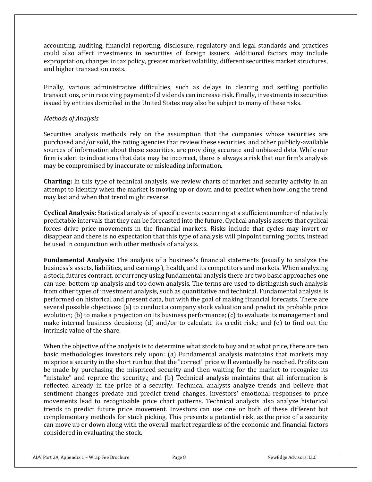accounting, auditing, financial reporting, disclosure, regulatory and legal standards and practices could also affect investments in securities of foreign issuers. Additional factors may include expropriation, changes in tax policy, greater market volatility, different securities market structures, and higher transaction costs.

Finally, various administrative difficulties, such as delays in clearing and settling portfolio transactions, or in receiving payment of dividends can increase risk. Finally, investments in securities issued by entities domiciled in the United States may also be subject to many of theserisks.

#### *Methods of Analysis*

Securities analysis methods rely on the assumption that the companies whose securities are purchased and/or sold, the rating agencies that review these securities, and other publicly-available sources of information about these securities, are providing accurate and unbiased data. While our firm is alert to indications that data may be incorrect, there is always a risk that our firm's analysis may be compromised by inaccurate or misleading information.

**Charting:** In this type of technical analysis, we review charts of market and security activity in an attempt to identify when the market is moving up or down and to predict when how long the trend may last and when that trend might reverse.

**Cyclical Analysis:** Statistical analysis of specific events occurring at a sufficient number of relatively predictable intervals that they can be forecasted into the future. Cyclical analysis asserts that cyclical forces drive price movements in the financial markets. Risks include that cycles may invert or disappear and there is no expectation that this type of analysis will pinpoint turning points, instead be used in conjunction with other methods of analysis.

**Fundamental Analysis:** The analysis of a business's financial statements (usually to analyze the business's assets, liabilities, and earnings), health, and its competitors and markets. When analyzing a stock, futures contract, or currency using fundamental analysis there are two basic approaches one can use: bottom up analysis and top down analysis. The terms are used to distinguish such analysis from other types of investment analysis, such as quantitative and technical. Fundamental analysis is performed on historical and present data, but with the goal of making financial forecasts. There are several possible objectives: (a) to conduct a company stock valuation and predict its probable price evolution; (b) to make a projection on its business performance; (c) to evaluate its management and make internal business decisions; (d) and/or to calculate its credit risk.; and (e) to find out the intrinsic value of the share.

When the objective of the analysis is to determine what stock to buy and at what price, there are two basic methodologies investors rely upon: (a) Fundamental analysis maintains that markets may misprice a security in the short run but that the "correct" price will eventually be reached. Profits can be made by purchasing the mispriced security and then waiting for the market to recognize its "mistake" and reprice the security.; and (b) Technical analysis maintains that all information is reflected already in the price of a security. Technical analysts analyze trends and believe that sentiment changes predate and predict trend changes. Investors' emotional responses to price movements lead to recognizable price chart patterns. Technical analysts also analyze historical trends to predict future price movement. Investors can use one or both of these different but complementary methods for stock picking. This presents a potential risk, as the price of a security can move up or down along with the overall market regardless of the economic and financial factors considered in evaluating the stock.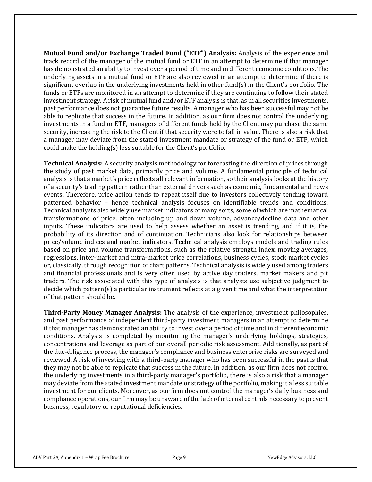**Mutual Fund and/or Exchange Traded Fund ("ETF") Analysis:** Analysis of the experience and track record of the manager of the mutual fund or ETF in an attempt to determine if that manager has demonstrated an ability to invest over a period of time and in different economic conditions. The underlying assets in a mutual fund or ETF are also reviewed in an attempt to determine if there is significant overlap in the underlying investments held in other fund(s) in the Client's portfolio. The funds or ETFs are monitored in an attempt to determine if they are continuing to follow their stated investment strategy. Arisk of mutual fund and/or ETF analysis is that, as in all securities investments, past performance does not guarantee future results. A manager who has been successful may not be able to replicate that success in the future. In addition, as our firm does not control the underlying investments in a fund or ETF, managers of different funds held by the Client may purchase the same security, increasing the risk to the Client if that security were to fall in value. There is also a risk that a manager may deviate from the stated investment mandate or strategy of the fund or ETF, which could make the holding(s) less suitable for the Client's portfolio.

**Technical Analysis:** A security analysis methodology for forecasting the direction of prices through the study of past market data, primarily price and volume. A fundamental principle of technical analysis is that a market's price reflects all relevant information, so their analysis looks at the history of a security's trading pattern rather than external drivers such as economic, fundamental and news events. Therefore, price action tends to repeat itself due to investors collectively tending toward patterned behavior – hence technical analysis focuses on identifiable trends and conditions. Technical analysts also widely use market indicators of many sorts, some of which are mathematical transformations of price, often including up and down volume, advance/decline data and other inputs. These indicators are used to help assess whether an asset is trending, and if it is, the probability of its direction and of continuation. Technicians also look for relationships between price/volume indices and market indicators. Technical analysis employs models and trading rules based on price and volume transformations, such as the relative strength index, moving averages, regressions, inter-market and intra-market price correlations, business cycles, stock market cycles or, classically, through recognition of chart patterns. Technical analysis is widely used among traders and financial professionals and is very often used by active day traders, market makers and pit traders. The risk associated with this type of analysis is that analysts use subjective judgment to decide which pattern(s) a particular instrument reflects at a given time and what the interpretation of that pattern should be.

**Third-Party Money Manager Analysis:** The analysis of the experience, investment philosophies, and past performance of independent third-party investment managers in an attempt to determine if that manager has demonstrated an ability to invest over a period of time and in different economic conditions. Analysis is completed by monitoring the manager's underlying holdings, strategies, concentrations and leverage as part of our overall periodic risk assessment. Additionally, as part of the due-diligence process, the manager's compliance and business enterprise risks are surveyed and reviewed. A risk of investing with a third-party manager who has been successful in the past is that they may not be able to replicate that success in the future. In addition, as our firm does not control the underlying investments in a third-party manager's portfolio, there is also a risk that a manager may deviate from the stated investment mandate or strategy of the portfolio, making it a less suitable investment for our clients. Moreover, as our firm does not control the manager's daily business and compliance operations, our firm may be unaware of the lack of internal controls necessary to prevent business, regulatory or reputational deficiencies.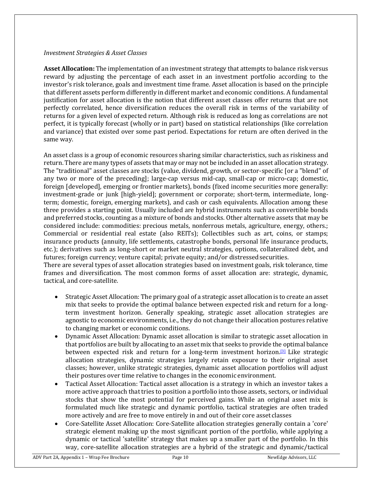#### *Investment Strategies & Asset Classes*

**Asset Allocation:** The implementation of an investment strategy that attempts to balance risk versus reward by adjusting the percentage of each asset in an investment portfolio according to the investor's risk tolerance, goals and investment time frame. Asset allocation is based on the principle that different assets perform differently in different market and economic conditions. A fundamental justification for asset allocation is the notion that different asset classes offer returns that are not perfectly correlated, hence diversification reduces the overall risk in terms of the variability of returns for a given level of expected return. Although risk is reduced as long as correlations are not perfect, it is typically forecast (wholly or in part) based on statistical relationships (like correlation and variance) that existed over some past period. Expectations for return are often derived in the same way.

An asset class is a group of economic resources sharing similar characteristics, such as riskiness and return. There are many types of assets that may or may not be included in an asset allocation strategy. The "traditional" asset classes are stocks (value, dividend, growth, or sector-specific [or a "blend" of any two or more of the preceding]; large-cap versus mid-cap, small-cap or micro-cap; domestic, foreign [developed], emerging or frontier markets), bonds (fixed income securities more generally: investment-grade or junk [high-yield]; government or corporate; short-term, intermediate, longterm; domestic, foreign, emerging markets), and cash or cash equivalents. Allocation among these three provides a starting point. Usually included are hybrid instruments such as convertible bonds and preferred stocks, counting as a mixture of bonds and stocks. Other alternative assets that may be considered include: commodities: precious metals, nonferrous metals, agriculture, energy, others.; Commercial or residential real estate (also REITs); Collectibles such as art, coins, or stamps; insurance products (annuity, life settlements, catastrophe bonds, personal life insurance products, etc.); derivatives such as long-short or market neutral strategies, options, collateralized debt, and futures; foreign currency; venture capital; private equity; and/or distressed securities.

There are several types of asset allocation strategies based on investment goals, risk tolerance, time frames and diversification. The most common forms of asset allocation are: strategic, dynamic, tactical, and core-satellite.

- Strategic Asset Allocation: The primary goal of a strategic asset allocation is to create an asset mix that seeks to provide the optimal balance between expected risk and return for a longterm investment horizon. Generally speaking, strategic asset allocation strategies are agnostic to economic environments, i.e., they do not change their allocation postures relative to changing market or economic conditions.
- Dynamic Asset Allocation: Dynamic asset allocation is similar to strategic asset allocation in that portfolios are built by allocating to an asset mix that seeks to provide the optimal balance between expected risk and return for a long-term investment horizo[n.](https://en.wikipedia.org/wiki/Asset_allocation#cite_note-idzorek1-3)<sup>[\[3\]](https://en.wikipedia.org/wiki/Asset_allocation#cite_note-idzorek1-3)</sup> Like strategic allocation strategies, dynamic strategies largely retain exposure to their original asset classes; however, unlike strategic strategies, dynamic asset allocation portfolios will adjust their postures over time relative to changes in the economic environment.
- Tactical Asset Allocation: Tactical asset allocation is a strategy in which an investor takes a more active approach that tries to position a portfolio into those assets, sectors, or individual stocks that show the most potential for perceived gains. While an original asset mix is formulated much like strategic and dynamic portfolio, tactical strategies are often traded more actively and are free to move entirely in and out of their core asset classes
- Core-Satellite Asset Allocation: Core-Satellite allocation strategies generally contain a 'core' strategic element making up the most significant portion of the portfolio, while applying a dynamic or tactical 'satellite' strategy that makes up a smaller part of the portfolio. In this way, core-satellite allocation strategies are a hybrid of the strategic and dynamic/tactical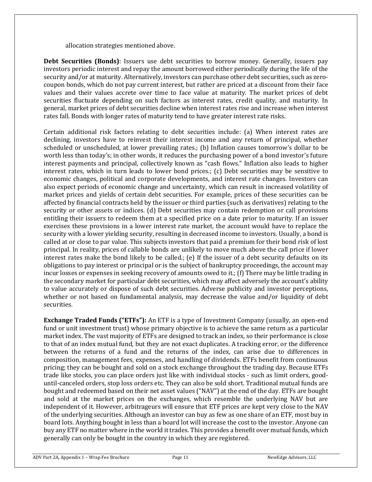allocation strategies mentioned above.

**Debt Securities (Bonds)**: Issuers use debt securities to borrow money. Generally, issuers pay investors periodic interest and repay the amount borrowed either periodically during the life of the security and/or at maturity. Alternatively, investors can purchase other debt securities, such as zerocoupon bonds, which do not pay current interest, but rather are priced at a discount from their face values and their values accrete over time to face value at maturity. The market prices of debt securities fluctuate depending on such factors as interest rates, credit quality, and maturity. In general, market prices of debt securities decline when interest rates rise and increase when interest rates fall. Bonds with longer rates of maturity tend to have greater interest rate risks.

Certain additional risk factors relating to debt securities include: (a) When interest rates are declining, investors have to reinvest their interest income and any return of principal, whether scheduled or unscheduled, at lower prevailing rates.; (b) Inflation causes tomorrow's dollar to be worth less than today's; in other words, it reduces the purchasing power of a bond investor's future interest payments and principal, collectively known as "cash flows." Inflation also leads to higher interest rates, which in turn leads to lower bond prices.; (c) Debt securities may be sensitive to economic changes, political and corporate developments, and interest rate changes. Investors can also expect periods of economic change and uncertainty, which can result in increased volatility of market prices and yields of certain debt securities. For example, prices of these securities can be affected by financial contracts held by the issuer or third parties (such as derivatives) relating to the security or other assets or indices. (d) Debt securities may contain redemption or call provisions entitling their issuers to redeem them at a specified price on a date prior to maturity. If an issuer exercises these provisions in a lower interest rate market, the account would have to replace the security with a lower yielding security, resulting in decreased income to investors. Usually, a bond is called at or close to par value. This subjects investors that paid a premium for their bond risk of lost principal. In reality, prices of callable bonds are unlikely to move much above the call price if lower interest rates make the bond likely to be called.; (e) If the issuer of a debt security defaults on its obligations to pay interest or principal or is the subject of bankruptcy proceedings, the account may incur losses or expenses in seeking recovery of amounts owed to it.; (f) There may be little trading in the secondary market for particular debt securities, which may affect adversely the account's ability to value accurately or dispose of such debt securities. Adverse publicity and investor perceptions, whether or not based on fundamental analysis, may decrease the value and/or liquidity of debt securities.

**Exchange Traded Funds ("ETFs"):** An ETF is a type of Investment Company (usually, an open-end fund or unit investment trust) whose primary objective is to achieve the same return as a particular market index. The vast majority of ETFs are designed to track an index, so their performance is close to that of an index mutual fund, but they are not exact duplicates. A tracking error, or the difference between the returns of a fund and the returns of the index, can arise due to differences in composition, management fees, expenses, and handling of dividends. ETFs benefit from continuous pricing; they can be bought and sold on a stock exchange throughout the trading day. Because ETFs trade like stocks, you can place orders just like with individual stocks - such as limit orders, gooduntil-canceled orders, stop loss orders etc. They can also be sold short. Traditional mutual funds are bought and redeemed based on their net asset values ("NAV") at the end of the day. ETFs are bought and sold at the market prices on the exchanges, which resemble the underlying NAV but are independent of it. However, arbitrageurs will ensure that ETF prices are kept very close to the NAV of the underlying securities. Although an investor can buy as few as one share of an ETF, most buy in board lots. Anything bought in less than a board lot will increase the cost to the investor. Anyone can buy any ETF no matter where in the world it trades. This provides a benefit over mutual funds, which generally can only be bought in the country in which they are registered.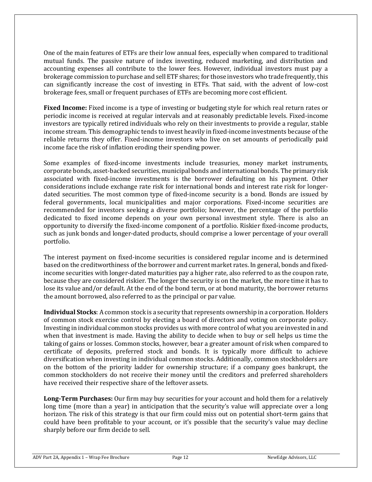One of the main features of ETFs are their low annual fees, especially when compared to traditional mutual funds. The passive nature of index investing, reduced marketing, and distribution and accounting expenses all contribute to the lower fees. However, individual investors must pay a brokerage commission to purchase and sell ETF shares; for those investors who trade frequently, this can significantly increase the cost of investing in ETFs. That said, with the advent of low-cost brokerage fees, small or frequent purchases of ETFs are becoming more cost efficient.

**Fixed Income:** Fixed income is a type of investing or budgeting style for which real return rates or periodic income is received at regular intervals and at reasonably predictable levels. Fixed-income investors are typically retired individuals who rely on their investments to provide a regular, stable income stream. This demographic tends to invest heavily in fixed-income investments because of the reliable returns they offer. Fixed-income investors who live on set amounts of periodically paid income face the risk of inflation eroding their spending power.

Some examples of fixed-income investments include treasuries, money market instruments, corporate bonds, asset-backed securities, municipal bonds and international bonds. The primary risk associated with fixed-income investments is the borrower defaulting on his payment. Other considerations include exchange rate risk for international bonds and interest rate risk for longerdated securities. The most common type of fixed-income security is a bond. Bonds are issued by federal governments, local municipalities and major corporations. Fixed-income securities are recommended for investors seeking a diverse portfolio; however, the percentage of the portfolio dedicated to fixed income depends on your own personal investment style. There is also an opportunity to diversify the fixed-income component of a portfolio. Riskier fixed-income products, such as junk bonds and longer-dated products, should comprise a lower percentage of your overall portfolio.

The interest payment on fixed-income securities is considered regular income and is determined based on the creditworthiness of the borrower and current market rates. In general, bonds and fixedincome securities with longer-dated maturities pay a higher rate, also referred to as the coupon rate, because they are considered riskier. The longer the security is on the market, the more time it has to lose its value and/or default. At the end of the bond term, or at bond maturity, the borrower returns the amount borrowed, also referred to as the principal or par value.

**Individual Stocks**: A common stock is a security that represents ownership in a corporation. Holders of common stock exercise control by electing a board of directors and voting on corporate policy. Investing in individual common stocks provides us with more control of what you are invested in and when that investment is made. Having the ability to decide when to buy or sell helps us time the taking of gains or losses. Common stocks, however, bear a greater amount of risk when compared to certificate of deposits, preferred stock and bonds. It is typically more difficult to achieve diversification when investing in individual common stocks. Additionally, common stockholders are on the bottom of the priority ladder for ownership structure; if a company goes bankrupt, the common stockholders do not receive their money until the creditors and preferred shareholders have received their respective share of the leftover assets.

**Long-Term Purchases:** Our firm may buy securities for your account and hold them for a relatively long time (more than a year) in anticipation that the security's value will appreciate over a long horizon. The risk of this strategy is that our firm could miss out on potential short-term gains that could have been profitable to your account, or it's possible that the security's value may decline sharply before our firm decide to sell.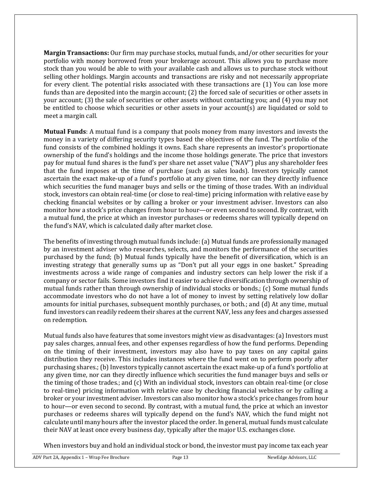**Margin Transactions:** Our firm may purchase stocks, mutual funds, and/or other securities for your portfolio with money borrowed from your brokerage account. This allows you to purchase more stock than you would be able to with your available cash and allows us to purchase stock without selling other holdings. Margin accounts and transactions are risky and not necessarily appropriate for every client. The potential risks associated with these transactions are (1) You can lose more funds than are deposited into the margin account; (2) the forced sale of securities or other assets in your account; (3) the sale of securities or other assets without contacting you; and (4) you may not be entitled to choose which securities or other assets in your account(s) are liquidated or sold to meet a margin call.

**Mutual Funds**: A mutual fund is a company that pools money from many investors and invests the money in a variety of differing security types based the objectives of the fund. The portfolio of the fund consists of the combined holdings it owns. Each share represents an investor's proportionate ownership of the fund's holdings and the income those holdings generate. The price that investors pay for mutual fund shares is the fund's per share net asset value ("NAV") plus any shareholder fees that the fund imposes at the time of purchase (such as sales loads). Investors typically cannot ascertain the exact make-up of a fund's portfolio at any given time, nor can they directly influence which securities the fund manager buys and sells or the timing of those trades. With an individual stock, investors can obtain real-time (or close to real-time) pricing information with relative ease by checking financial websites or by calling a broker or your investment adviser. Investors can also monitor how a stock's price changes from hour to hour—or even second to second. By contrast, with a mutual fund, the price at which an investor purchases or redeems shares will typically depend on the fund's NAV, which is calculated daily after market close.

The benefits of investing through mutual funds include: (a) Mutual funds are professionally managed by an investment adviser who researches, selects, and monitors the performance of the securities purchased by the fund; (b) Mutual funds typically have the benefit of diversification, which is an investing strategy that generally sums up as "Don't put all your eggs in one basket." Spreading investments across a wide range of companies and industry sectors can help lower the risk if a company or sector fails. Some investors find it easier to achieve diversification through ownership of mutual funds rather than through ownership of individual stocks or bonds.; (c) Some mutual funds accommodate investors who do not have a lot of money to invest by setting relatively low dollar amounts for initial purchases, subsequent monthly purchases, or both.; and (d) At any time, mutual fund investors can readily redeem their shares at the current NAV, less any fees and charges assessed on redemption.

Mutual funds also have features that some investors might view as disadvantages:(a) Investors must pay sales charges, annual fees, and other expenses regardless of how the fund performs. Depending on the timing of their investment, investors may also have to pay taxes on any capital gains distribution they receive. This includes instances where the fund went on to perform poorly after purchasing shares.; (b) Investors typically cannot ascertain the exact make-up of a fund's portfolio at any given time, nor can they directly influence which securities the fund manager buys and sells or the timing of those trades.; and (c) With an individual stock, investors can obtain real-time (or close to real-time) pricing information with relative ease by checking financial websites or by calling a broker or your investment adviser. Investors can also monitor how a stock's price changes from hour to hour—or even second to second. By contrast, with a mutual fund, the price at which an investor purchases or redeems shares will typically depend on the fund's NAV, which the fund might not calculate until many hours after the investor placed the order. In general, mutual funds must calculate their NAV at least once every business day, typically after the major U.S. exchanges close.

When investors buy and hold an individual stock or bond, the investor must pay income tax each year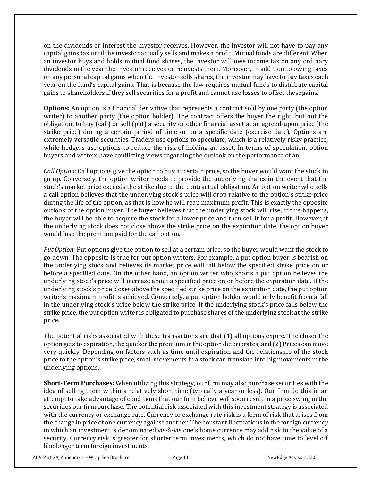on the dividends or interest the investor receives. However, the investor will not have to pay any capital gains tax until the investor actually sells and makes a profit. Mutual funds are different. When an investor buys and holds mutual fund shares, the investor will owe income tax on any ordinary dividends in the year the investor receives or reinvests them. Moreover, in addition to owing taxes on any personal capital gains when the investor sells shares, the investor may have to pay taxes each year on the fund's capital gains. That is because the law requires mutual funds to distribute capital gains to shareholders if they sell securities for a profit and cannot use losses to offset thesegains.

**Options:** An option is a financial derivative that represents a contract sold by one party (the option writer) to another party (the option holder). The contract offers the buyer the right, but not the obligation, to buy (call) or sell (put) a security or other financial asset at an agreed-upon price (the strike price) during a certain period of time or on a specific date (exercise date). Options are extremely versatile securities. Traders use options to speculate, which is a relatively risky practice, while hedgers use options to reduce the risk of holding an asset. In terms of speculation, option buyers and writers have conflicting views regarding the outlook on the performance of an

*Call Option:* Call options give the option to buy at certain price, so the buyer would want the stock to go up. Conversely, the option writer needs to provide the underlying shares in the event that the stock's market price exceeds the strike due to the contractual obligation. An option writer who sells a call option believes that the underlying stock's price will drop relative to the option's strike price during the life of the option, as that is how he will reap maximum profit. This is exactly the opposite outlook of the option buyer. The buyer believes that the underlying stock will rise; if this happens, the buyer will be able to acquire the stock for a lower price and then sell it for a profit. However, if the underlying stock does not close above the strike price on the expiration date, the option buyer would lose the premium paid for the call option.

*Put Option:* Put options give the option to sell at a certain price, so the buyer would want the stock to go down. The opposite is true for put option writers. For example, a put option buyer is bearish on the underlying stock and believes its market price will fall below the specified strike price on or before a specified date. On the other hand, an option writer who shorts a put option believes the underlying stock's price will increase about a specified price on or before the expiration date. If the underlying stock's price closes above the specified strike price on the expiration date, the put option writer's maximum profit is achieved. Conversely, a put option holder would only benefit from a fall in the underlying stock's price below the strike price. If the underlying stock's price falls below the strike price, the put option writer is obligated to purchase shares of the underlying stock at the strike price.

The potential risks associated with these transactions are that (1) all options expire. The closer the option gets to expiration, the quicker the premium in the option deteriorates; and  $(2)$  Prices can move very quickly. Depending on factors such as time until expiration and the relationship of the stock price to the option's strike price, small movements in a stock can translate into big movements in the underlying options.

**Short-Term Purchases:** When utilizing this strategy, our firm may also purchase securities with the idea of selling them within a relatively short time (typically a year or less). Our firm do this in an attempt to take advantage of conditions that our firm believe will soon result in a price swing in the securities our firm purchase. The potential risk associated with this investment strategy is associated with the currency or exchange rate. Currency or exchange rate risk is a form of risk that arises from the change in price of one currency against another. The constant fluctuations in the foreign currency in which an investment is denominated vis-à-vis one's home currency may add risk to the value of a security. Currency risk is greater for shorter term investments, which do not have time to level off like longer term foreign investments.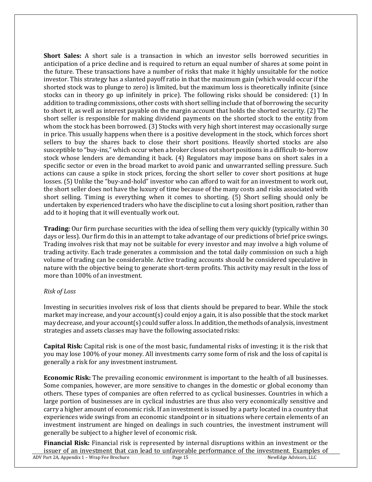**Short Sales:** A short sale is a transaction in which an investor sells borrowed securities in anticipation of a price decline and is required to return an equal number of shares at some point in the future. These transactions have a number of risks that make it highly unsuitable for the notice investor. This strategy has a slanted payoff ratio in that the maximum gain (which would occur if the shorted stock was to plunge to zero) is limited, but the maximum loss is theoretically infinite (since stocks can in theory go up infinitely in price). The following risks should be considered: (1) In addition to trading commissions, other costs with short selling include that of borrowing the security to short it, as well as interest payable on the margin account that holds the shorted security. (2) The short seller is responsible for making dividend payments on the shorted stock to the entity from whom the stock has been borrowed. (3) Stocks with very high short interest may occasionally surge in price. This usually happens when there is a positive development in the stock, which forces short sellers to buy the shares back to close their short positions. Heavily shorted stocks are also susceptible to "buy-ins," which occur when a broker closes out short positions in a difficult-to-borrow stock whose lenders are demanding it back. (4) Regulators may impose bans on short sales in a specific sector or even in the broad market to avoid panic and unwarranted selling pressure. Such actions can cause a spike in stock prices, forcing the short seller to cover short positions at huge losses. (5) Unlike the "buy-and-hold" investor who can afford to wait for an investment to work out, the short seller does not have the luxury of time because of the many costs and risks associated with short selling. Timing is everything when it comes to shorting. (5) Short selling should only be undertaken by experienced traders who have the discipline to cut a losing short position, rather than add to it hoping that it will eventually work out.

**Trading:** Our firm purchase securities with the idea of selling them very quickly (typically within 30 days or less). Our firm do this in an attempt to take advantage of our predictions of brief price swings. Trading involves risk that may not be suitable for every investor and may involve a high volume of trading activity. Each trade generates a commission and the total daily commission on such a high volume of trading can be considerable. Active trading accounts should be considered speculative in nature with the objective being to generate short-term profits. This activity may result in the loss of more than 100% of an investment.

#### *Risk of Loss*

Investing in securities involves risk of loss that clients should be prepared to bear. While the stock market may increase, and your account(s) could enjoy a gain, it is also possible that the stock market may decrease, and your account(s) could suffer a loss. In addition, the methods of analysis, investment strategies and assets classes may have the following associated risks:

**Capital Risk:** Capital risk is one of the most basic, fundamental risks of investing; it is the risk that you may lose 100% of your money. All investments carry some form of risk and the loss of capital is generally a risk for any investment instrument.

**Economic Risk:** The prevailing economic environment is important to the health of all businesses. Some companies, however, are more sensitive to changes in the domestic or global economy than others. These types of companies are often referred to as cyclical businesses. Countries in which a large portion of businesses are in cyclical industries are thus also very economically sensitive and carry a higher amount of economic risk. If an investment is issued by a party located in a country that experiences wide swings from an economic standpoint or in situations where certain elements of an investment instrument are hinged on dealings in such countries, the investment instrument will generally be subject to a higher level of economic risk.

**Financial Risk:** Financial risk is represented by internal disruptions within an investment or the issuer of an investment that can lead to unfavorable performance of the investment. Examples of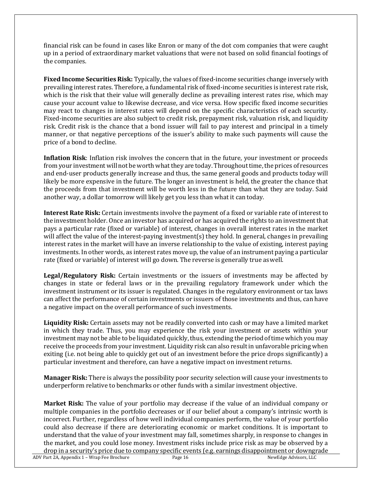financial risk can be found in cases like Enron or many of the dot com companies that were caught up in a period of extraordinary market valuations that were not based on solid financial footings of the companies.

**Fixed Income Securities Risk:** Typically, the values of fixed-income securities change inversely with prevailing interest rates. Therefore, a fundamental risk of fixed-income securities is interest rate risk, which is the risk that their value will generally decline as prevailing interest rates rise, which may cause your account value to likewise decrease, and vice versa. How specific fixed income securities may react to changes in interest rates will depend on the specific characteristics of each security. Fixed-income securities are also subject to credit risk, prepayment risk, valuation risk, and liquidity risk. Credit risk is the chance that a bond issuer will fail to pay interest and principal in a timely manner, or that negative perceptions of the issuer's ability to make such payments will cause the price of a bond to decline.

**Inflation Risk**: Inflation risk involves the concern that in the future, your investment or proceeds from your investment will not be worth what they are today. Throughout time, the prices of resources and end-user products generally increase and thus, the same general goods and products today will likely be more expensive in the future. The longer an investment is held, the greater the chance that the proceeds from that investment will be worth less in the future than what they are today. Said another way, a dollar tomorrow will likely get you less than what it can today.

**Interest Rate Risk:** Certain investments involve the payment of a fixed or variable rate of interest to the investment holder. Once an investor has acquired or has acquired the rights to an investment that pays a particular rate (fixed or variable) of interest, changes in overall interest rates in the market will affect the value of the interest-paying investment(s) they hold. In general, changes in prevailing interest rates in the market will have an inverse relationship to the value of existing, interest paying investments. In other words, as interest rates move up, the value of an instrument paying a particular rate (fixed or variable) of interest will go down. The reverse is generally true aswell.

**Legal/Regulatory Risk:** Certain investments or the issuers of investments may be affected by changes in state or federal laws or in the prevailing regulatory framework under which the investment instrument or its issuer is regulated. Changes in the regulatory environment or tax laws can affect the performance of certain investments or issuers of those investments and thus, can have a negative impact on the overall performance of such investments.

**Liquidity Risk:** Certain assets may not be readily converted into cash or may have a limited market in which they trade. Thus, you may experience the risk your investment or assets within your investment may not be able to be liquidated quickly, thus, extending the period of time which you may receive the proceeds from your investment. Liquidity risk can also result in unfavorable pricing when exiting (i.e. not being able to quickly get out of an investment before the price drops significantly) a particular investment and therefore, can have a negative impact on investment returns.

**Manager Risk:** There is always the possibility poor security selection will cause your investments to underperform relative to benchmarks or other funds with a similar investment objective.

**Market Risk:** The value of your portfolio may decrease if the value of an individual company or multiple companies in the portfolio decreases or if our belief about a company's intrinsic worth is incorrect. Further, regardless of how well individual companies perform, the value of your portfolio could also decrease if there are deteriorating economic or market conditions. It is important to understand that the value of your investment may fall, sometimes sharply, in response to changes in the market, and you could lose money. Investment risks include price risk as may be observed by a drop in a security's price due to company specific events (e.g. earnings disappointment or downgrade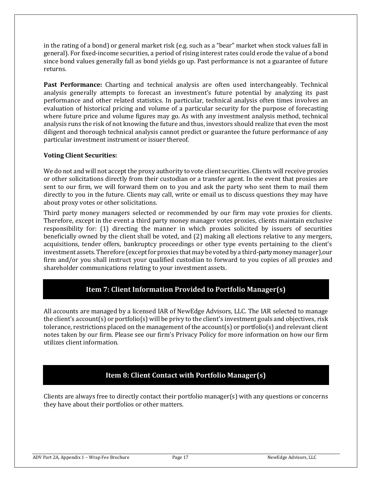in the rating of a bond) or general market risk (e.g. such as a "bear" market when stock values fall in general). For fixed-income securities, a period of rising interest rates could erode the value of a bond since bond values generally fall as bond yields go up. Past performance is not a guarantee of future returns.

**Past Performance:** Charting and technical analysis are often used interchangeably. Technical analysis generally attempts to forecast an investment's future potential by analyzing its past performance and other related statistics. In particular, technical analysis often times involves an evaluation of historical pricing and volume of a particular security for the purpose of forecasting where future price and volume figures may go. As with any investment analysis method, technical analysis runs the risk of not knowing the future and thus, investors should realize that even the most diligent and thorough technical analysis cannot predict or guarantee the future performance of any particular investment instrument or issuer thereof.

#### **Voting Client Securities:**

We do not and will not accept the proxy authority to vote client securities. Clients will receive proxies or other solicitations directly from their custodian or a transfer agent. In the event that proxies are sent to our firm, we will forward them on to you and ask the party who sent them to mail them directly to you in the future. Clients may call, write or email us to discuss questions they may have about proxy votes or other solicitations.

Third party money managers selected or recommended by our firm may vote proxies for clients. Therefore, except in the event a third party money manager votes proxies, clients maintain exclusive responsibility for: (1) directing the manner in which proxies solicited by issuers of securities beneficially owned by the client shall be voted, and (2) making all elections relative to any mergers, acquisitions, tender offers, bankruptcy proceedings or other type events pertaining to the client's investment assets. Therefore (except for proxies that may be voted by a third-partymoney manager),our firm and/or you shall instruct your qualified custodian to forward to you copies of all proxies and shareholder communications relating to your investment assets.

## **Item 7: Client Information Provided to Portfolio Manager(s)**

<span id="page-16-0"></span>All accounts are managed by a licensed IAR of NewEdge Advisors, LLC. The IAR selected to manage the client's account(s) or portfolio(s) will be privy to the client's investment goals and objectives, risk tolerance, restrictions placed on the management of the account(s) or portfolio(s) and relevant client notes taken by our firm. Please see our firm's Privacy Policy for more information on how our firm utilizes client information.

## **Item 8: Client Contact with Portfolio Manager(s)**

<span id="page-16-1"></span>Clients are always free to directly contact their portfolio manager(s) with any questions or concerns they have about their portfolios or other matters.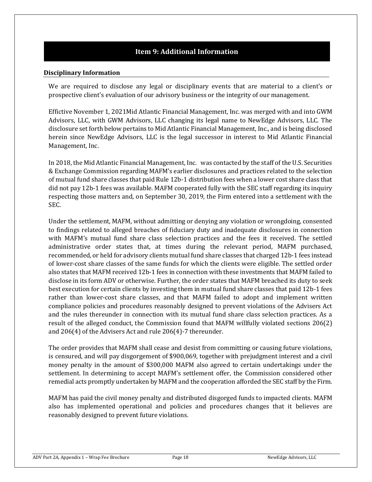## **Item 9: Additional Information**

#### <span id="page-17-0"></span>**Disciplinary Information**

We are required to disclose any legal or disciplinary events that are material to a client's or prospective client's evaluation of our advisory business or the integrity of our management.

Effictive November 1, 2021Mid Atlantic Financial Management, Inc. was merged with and into GWM Advisors, LLC, with GWM Advisors, LLC changing its legal name to NewEdge Advisors, LLC. The disclosure set forth below pertains to Mid Atlantic Financial Management, Inc., and is being disclosed herein since NewEdge Advisors, LLC is the legal successor in interest to Mid Atlantic Financial Management, Inc.

In 2018, the Mid Atlantic Financial Management, Inc. was contacted by the staff of the U.S. Securities & Exchange Commission regarding MAFM's earlier disclosures and practices related to the selection of mutual fund share classes that paid Rule 12b-1 distribution fees when a lower cost share class that did not pay 12b-1 fees was available. MAFM cooperated fully with the SEC staff regarding its inquiry respecting those matters and, on September 30, 2019, the Firm entered into a settlement with the SEC.

Under the settlement, MAFM, without admitting or denying any violation or wrongdoing, consented to findings related to alleged breaches of fiduciary duty and inadequate disclosures in connection with MAFM's mutual fund share class selection practices and the fees it received. The settled administrative order states that, at times during the relevant period, MAFM purchased, recommended, or held for advisory clients mutual fund share classes that charged 12b-1 fees instead of lower-cost share classes of the same funds for which the clients were eligible. The settled order also states that MAFM received 12b-1 fees in connection with these investments that MAFM failed to disclose in its form ADV or otherwise. Further, the order states that MAFM breached its duty to seek best execution for certain clients by investing them in mutual fund share classes that paid 12b-1 fees rather than lower-cost share classes, and that MAFM failed to adopt and implement written compliance policies and procedures reasonably designed to prevent violations of the Advisers Act and the rules thereunder in connection with its mutual fund share class selection practices. As a result of the alleged conduct, the Commission found that MAFM willfully violated sections 206(2) and 206(4) of the Advisers Act and rule 206(4)-7 thereunder.

The order provides that MAFM shall cease and desist from committing or causing future violations, is censured, and will pay disgorgement of \$900,069, together with prejudgment interest and a civil money penalty in the amount of \$300,000 MAFM also agreed to certain undertakings under the settlement. In determining to accept MAFM's settlement offer, the Commission considered other remedial acts promptly undertaken by MAFM and the cooperation afforded the SEC staff by the Firm.

MAFM has paid the civil money penalty and distributed disgorged funds to impacted clients. MAFM also has implemented operational and policies and procedures changes that it believes are reasonably designed to prevent future violations.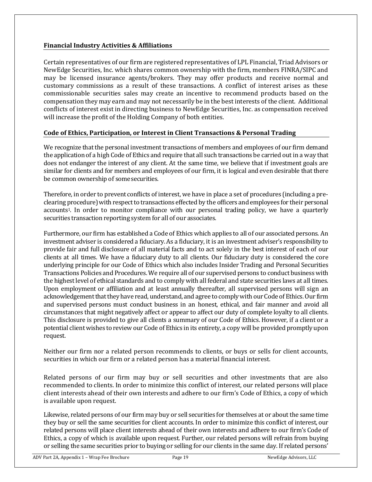#### **Financial Industry Activities & Affiliations**

Certain representatives of our firm are registered representatives of LPL Financial, Triad Advisors or NewEdge Securities, Inc. which shares common ownership with the firm, members FINRA/SIPC and may be licensed insurance agents/brokers. They may offer products and receive normal and customary commissions as a result of these transactions. A conflict of interest arises as these commissionable securities sales may create an incentive to recommend products based on the compensation they may earn and may not necessarily be in the best interests of the client. Additional conflicts of interest exist in directing business to NewEdge Securities, Inc. as compensation received will increase the profit of the Holding Company of both entities.

### **Code of Ethics, Participation, or Interest in Client Transactions & Personal Trading**

We recognize that the personal investment transactions of members and employees of our firm demand the application of a high Code of Ethics and require that all such transactions be carried out in a way that does not endanger the interest of any client. At the same time, we believe that if investment goals are similar for clients and for members and employees of our firm, it is logical and even desirable that there be common ownership of somesecurities.

Therefore, in order to prevent conflicts of interest, we have in place a set of procedures (including a preclearing procedure) with respect to transactions effected by the officers and employees for their personal accounts1. In order to monitor compliance with our personal trading policy, we have a quarterly securities transaction reporting system for all of our associates.

Furthermore, our firm has established a Code of Ethics which applies to all of our associated persons. An investment adviser is considered a fiduciary. As a fiduciary, it is an investment adviser's responsibility to provide fair and full disclosure of all material facts and to act solely in the best interest of each of our clients at all times. We have a fiduciary duty to all clients. Our fiduciary duty is considered the core underlying principle for our Code of Ethics which also includes Insider Trading and Personal Securities Transactions Policies and Procedures.We require all of our supervised persons to conduct business with the highest level of ethical standards and to comply with all federal and state securities laws at all times. Upon employment or affiliation and at least annually thereafter, all supervised persons will sign an acknowledgement that they have read, understand, and agree to comply with our Code of Ethics. Our firm and supervised persons must conduct business in an honest, ethical, and fair manner and avoid all circumstances that might negatively affect or appear to affect our duty of complete loyalty to all clients. This disclosure is provided to give all clients a summary of our Code of Ethics. However, if a client or a potential client wishes to reviewour Code of Ethics in its entirety, a copy will be provided promptlyupon request.

Neither our firm nor a related person recommends to clients, or buys or sells for client accounts, securities in which our firm or a related person has a material financial interest.

Related persons of our firm may buy or sell securities and other investments that are also recommended to clients. In order to minimize this conflict of interest, our related persons will place client interests ahead of their own interests and adhere to our firm's Code of Ethics, a copy of which is available upon request.

Likewise, related persons of our firm may buy or sell securities for themselves at or about the same time they buy or sell the same securities for client accounts. In order to minimize this conflict of interest, our related persons will place client interests ahead of their own interests and adhere to our firm's Code of Ethics, a copy of which is available upon request. Further, our related persons will refrain from buying or selling the same securities prior to buying or selling for our clients in the same day. If related persons'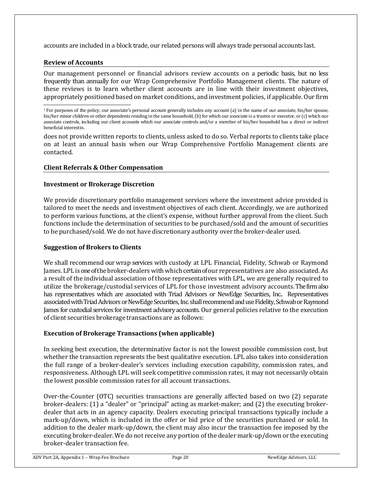accounts are included in a block trade, our related persons will always trade personal accounts last.

#### **Review of Accounts**

Our management personnel or financial advisors review accounts on a periodic basis, but no less frequently than annually for our Wrap Comprehensive Portfolio Management clients. The nature of these reviews is to learn whether client accounts are in line with their investment objectives, appropriately positioned based on market conditions, and investment policies, if applicable. Our firm

does not provide written reports to clients, unless asked to do so. Verbal reports to clients take place on at least an annual basis when our Wrap Comprehensive Portfolio Management clients are contacted.

#### **Client Referrals & Other Compensation**

#### **Investment or Brokerage Discretion**

We provide discretionary portfolio management services where the investment advice provided is tailored to meet the needs and investment objectives of each client. Accordingly, we are authorized to perform various functions, at the client's expense, without further approval from the client. Such functions include the determination of securities to be purchased/sold and the amount of securities to be purchased/sold. We do not have discretionary authority over the broker-dealer used.

#### **Suggestion of Brokers to Clients**

We shall recommend our wrap services with custody at LPL Financial, Fidelity, Schwab or Raymond James. LPLis one of the broker-dealers with which certain of our representatives are also associated. As a result of the individual association of those representatives with LPL, we are generally required to utilize the brokerage/custodial services of LPL for those investment advisory accounts. The firm also has representatives which are associated with Triad Advisors or NewEdge Securities, Inc.. Representatives associated with Triad Advisors or NewEdge Securities, Inc. shall recommend and use Fidelity, Schwab or Raymond James for custodial services for investment advisory accounts. Our general policies relative to the execution of client securities brokerage transactions are as follows:

#### **Execution of Brokerage Transactions (when applicable)**

In seeking best execution, the determinative factor is not the lowest possible commission cost, but whether the transaction represents the best qualitative execution. LPL also takes into consideration the full range of a broker-dealer's services including execution capability, commission rates, and responsiveness. Although LPL will seek competitive commission rates, it may not necessarily obtain the lowest possible commission rates for all account transactions.

Over-the-Counter (OTC) securities transactions are generally affected based on two (2) separate broker-dealers: (1) a "dealer" or "principal" acting as market-maker; and (2) the executing brokerdealer that acts in an agency capacity. Dealers executing principal transactions typically include a mark-up/down, which is included in the offer or bid price of the securities purchased or sold. In addition to the dealer mark-up/down, the client may also incur the transaction fee imposed by the executing broker-dealer. We do not receive any portion of the dealer mark-up/down or the executing broker-dealer transaction fee.

<sup>1</sup>For purposes of the policy, our associate's personal account generally includes any account (a) in the name of our associate, his/her spouse, his/her minor children or other dependents residing in the same household, (b) for which our associate is a trustee or executor, or (c) which our associate controls, including our client accounts which our associate controls and/or a member of his/her household has a direct or indirect beneficial interestin.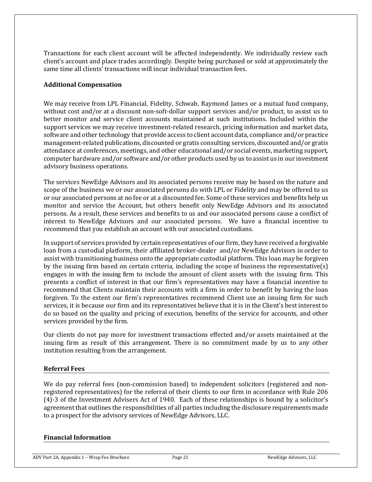Transactions for each client account will be affected independently. We individually review each client's account and place trades accordingly. Despite being purchased or sold at approximately the same time all clients' transactions will incur individual transaction fees.

#### **Additional Compensation**

We may receive from LPL Financial, Fidelity, Schwab, Raymond James or a mutual fund company, without cost and/or at a discount non-soft-dollar support services and/or product, to assist us to better monitor and service client accounts maintained at such institutions. Included within the support services we may receive investment-related research, pricing information and market data, software and other technology that provide access to client account data, compliance and/or practice management-related publications, discounted or gratis consulting services, discounted and/or gratis attendance at conferences, meetings, and other educational and/or social events, marketing support, computer hardware and/or software and/or other products used by us to assist us in our investment advisory business operations.

The services NewEdge Advisors and its associated persons receive may be based on the nature and scope of the business we or our associated persons do with LPL or Fidelity and may be offered to us or our associated persons at no fee or at a discounted fee. Some of these services and benefits help us monitor and service the Account, but others benefit only NewEdge Advisors and its associated persons. As a result, these services and benefits to us and our associated persons cause a conflict of interest to NewEdge Advisors and our associated persons. We have a financial incentive to recommend that you establish an account with our associated custodians.

In support of services provided by certain representatives of our firm, they have received a forgivable loan from a custodial platform, their affiliated broker-dealer and/or NewEdge Advisors in order to assist with transitioning business onto the appropriate custodial platform. This loan may be forgiven by the issuing firm based on certain criteria, including the scope of business the representative(s) engages in with the issuing firm to include the amount of client assets with the issuing firm. This presents a conflict of interest in that our firm's representatives may have a financial incentive to recommend that Clients maintain their accounts with a firm in order to benefit by having the loan forgiven. To the extent our firm's representatives recommend Client use an issuing firm for such services, it is because our firm and its representatives believe that it is in the Client's best interest to do so based on the quality and pricing of execution, benefits of the service for accounts, and other services provided by the firm.

Our clients do not pay more for investment transactions effected and/or assets maintained at the issuing firm as result of this arrangement. There is no commitment made by us to any other institution resulting from the arrangement.

#### **Referral Fees**

We do pay referral fees (non-commission based) to independent solicitors (registered and nonregistered representatives) for the referral of their clients to our firm in accordance with Rule 206 (4)-3 of the Investment Advisers Act of 1940. Each of these relationships is bound by a solicitor's agreement that outlines the responsibilities of all parties including the disclosure requirements made to a prospect for the advisory services of NewEdge Advisors, LLC.

#### **Financial Information**

ADV Part 2A, Appendix 1 – Wrap Fee Brochure Page 21 Page 21 NewEdge Advisors, LLC